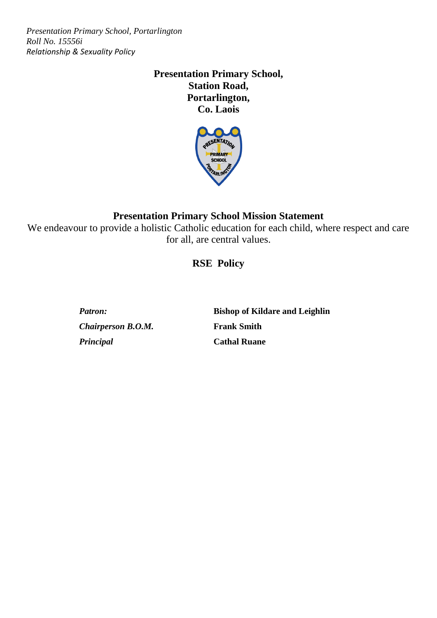# **Presentation Primary School, Station Road, Portarlington, Co. Laois**



# **Presentation Primary School Mission Statement**

We endeavour to provide a holistic Catholic education for each child, where respect and care for all, are central values.

# **RSE Policy**

*Chairperson B.O.M.* **Frank Smith** *Principal* **Cathal Ruane**

*Patron:* **Bishop of Kildare and Leighlin**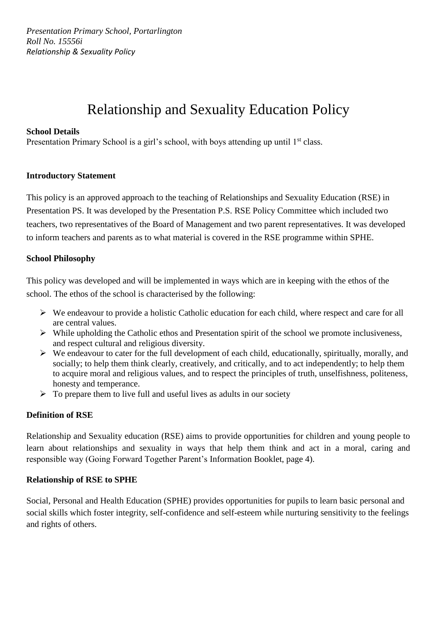# Relationship and Sexuality Education Policy

#### **School Details**

Presentation Primary School is a girl's school, with boys attending up until 1<sup>st</sup> class.

#### **Introductory Statement**

This policy is an approved approach to the teaching of Relationships and Sexuality Education (RSE) in Presentation PS. It was developed by the Presentation P.S. RSE Policy Committee which included two teachers, two representatives of the Board of Management and two parent representatives. It was developed to inform teachers and parents as to what material is covered in the RSE programme within SPHE.

#### **School Philosophy**

This policy was developed and will be implemented in ways which are in keeping with the ethos of the school. The ethos of the school is characterised by the following:

- ➢ We endeavour to provide a holistic Catholic education for each child, where respect and care for all are central values.
- ➢ While upholding the Catholic ethos and Presentation spirit of the school we promote inclusiveness, and respect cultural and religious diversity.
- $\triangleright$  We endeavour to cater for the full development of each child, educationally, spiritually, morally, and socially; to help them think clearly, creatively, and critically, and to act independently; to help them to acquire moral and religious values, and to respect the principles of truth, unselfishness, politeness, honesty and temperance.
- $\triangleright$  To prepare them to live full and useful lives as adults in our society

#### **Definition of RSE**

Relationship and Sexuality education (RSE) aims to provide opportunities for children and young people to learn about relationships and sexuality in ways that help them think and act in a moral, caring and responsible way (Going Forward Together Parent's Information Booklet, page 4).

#### **Relationship of RSE to SPHE**

Social, Personal and Health Education (SPHE) provides opportunities for pupils to learn basic personal and social skills which foster integrity, self-confidence and self-esteem while nurturing sensitivity to the feelings and rights of others.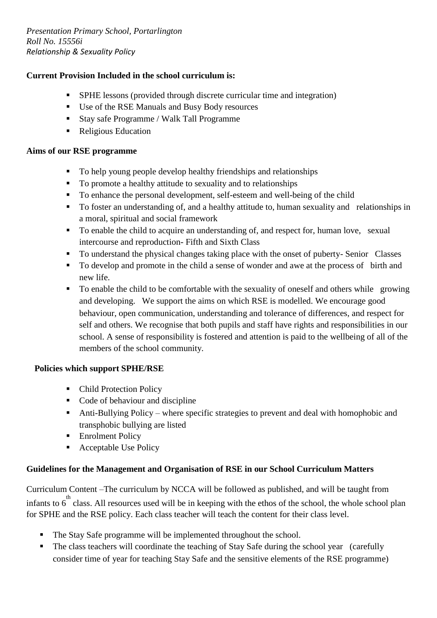#### **Current Provision Included in the school curriculum is:**

- SPHE lessons (provided through discrete curricular time and integration)
- Use of the RSE Manuals and Busy Body resources
- Stay safe Programme / Walk Tall Programme
- Religious Education

#### **Aims of our RSE programme**

- To help young people develop healthy friendships and relationships
- To promote a healthy attitude to sexuality and to relationships
- To enhance the personal development, self-esteem and well-being of the child
- To foster an understanding of, and a healthy attitude to, human sexuality and relationships in a moral, spiritual and social framework
- To enable the child to acquire an understanding of, and respect for, human love, sexual intercourse and reproduction- Fifth and Sixth Class
- To understand the physical changes taking place with the onset of puberty- Senior Classes
- To develop and promote in the child a sense of wonder and awe at the process of birth and new life.
- To enable the child to be comfortable with the sexuality of oneself and others while growing and developing. We support the aims on which RSE is modelled. We encourage good behaviour, open communication, understanding and tolerance of differences, and respect for self and others. We recognise that both pupils and staff have rights and responsibilities in our school. A sense of responsibility is fostered and attention is paid to the wellbeing of all of the members of the school community.

#### **Policies which support SPHE/RSE**

- Child Protection Policy
- Code of behaviour and discipline
- Anti-Bullying Policy where specific strategies to prevent and deal with homophobic and transphobic bullying are listed
- **Enrolment Policy**
- Acceptable Use Policy

#### **Guidelines for the Management and Organisation of RSE in our School Curriculum Matters**

Curriculum Content –The curriculum by NCCA will be followed as published, and will be taught from infants to  $6^{th}$  class. All resources used will be in keeping with the ethos of the school, the whole school plan for SPHE and the RSE policy. Each class teacher will teach the content for their class level.

- The Stay Safe programme will be implemented throughout the school.
- The class teachers will coordinate the teaching of Stay Safe during the school year (carefully consider time of year for teaching Stay Safe and the sensitive elements of the RSE programme)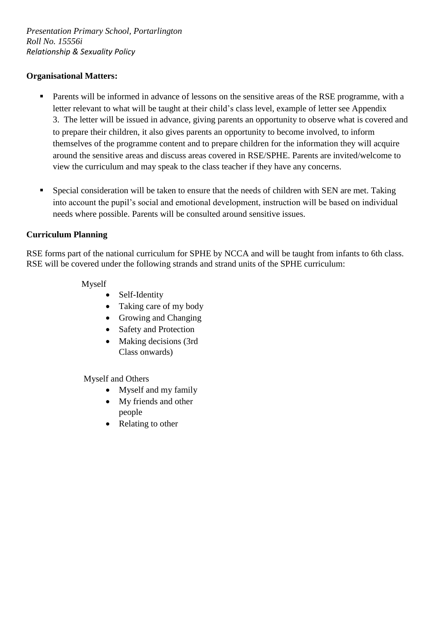#### **Organisational Matters:**

- Parents will be informed in advance of lessons on the sensitive areas of the RSE programme, with a letter relevant to what will be taught at their child's class level, example of letter see Appendix 3. The letter will be issued in advance, giving parents an opportunity to observe what is covered and to prepare their children, it also gives parents an opportunity to become involved, to inform themselves of the programme content and to prepare children for the information they will acquire around the sensitive areas and discuss areas covered in RSE/SPHE. Parents are invited/welcome to view the curriculum and may speak to the class teacher if they have any concerns.
- **•** Special consideration will be taken to ensure that the needs of children with SEN are met. Taking into account the pupil's social and emotional development, instruction will be based on individual needs where possible. Parents will be consulted around sensitive issues.

#### **Curriculum Planning**

RSE forms part of the national curriculum for SPHE by NCCA and will be taught from infants to 6th class. RSE will be covered under the following strands and strand units of the SPHE curriculum:

#### Myself

- Self-Identity
- Taking care of my body
- Growing and Changing
- Safety and Protection
- Making decisions (3rd) Class onwards)

Myself and Others

- Myself and my family
- My friends and other people
- Relating to other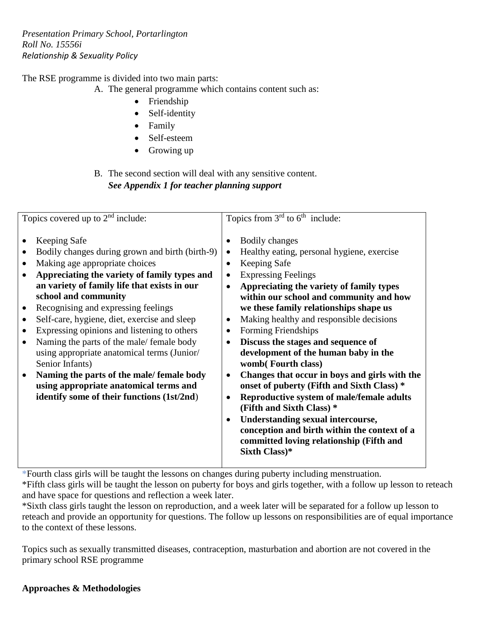The RSE programme is divided into two main parts:

A. The general programme which contains content such as:

- Friendship
- Self-identity
- Family
- Self-esteem
- Growing up

## B. The second section will deal with any sensitive content. *See Appendix 1 for teacher planning support*

| <b>Bodily changes</b><br><b>Keeping Safe</b><br>Bodily changes during grown and birth (birth-9)<br>Healthy eating, personal hygiene, exercise<br>Making age appropriate choices<br><b>Keeping Safe</b><br>Appreciating the variety of family types and<br><b>Expressing Feelings</b><br>an variety of family life that exists in our<br>Appreciating the variety of family types<br>٠<br>school and community<br>within our school and community and how<br>we these family relationships shape us<br>Recognising and expressing feelings<br>$\bullet$<br>Self-care, hygiene, diet, exercise and sleep<br>Making healthy and responsible decisions<br>٠<br>Expressing opinions and listening to others<br>Forming Friendships<br>Naming the parts of the male/ female body<br>Discuss the stages and sequence of<br>٠<br>using appropriate anatomical terms (Junior/<br>development of the human baby in the<br>Senior Infants)<br>womb(Fourth class)<br>Naming the parts of the male/ female body<br>Changes that occur in boys and girls with the<br>$\bullet$<br>using appropriate anatomical terms and<br>onset of puberty (Fifth and Sixth Class) *<br>identify some of their functions (1st/2nd)<br>Reproductive system of male/female adults<br>$\bullet$<br>(Fifth and Sixth Class) * | Topics covered up to $2nd$ include: | Topics from $3rd$ to $6th$ include: |
|-----------------------------------------------------------------------------------------------------------------------------------------------------------------------------------------------------------------------------------------------------------------------------------------------------------------------------------------------------------------------------------------------------------------------------------------------------------------------------------------------------------------------------------------------------------------------------------------------------------------------------------------------------------------------------------------------------------------------------------------------------------------------------------------------------------------------------------------------------------------------------------------------------------------------------------------------------------------------------------------------------------------------------------------------------------------------------------------------------------------------------------------------------------------------------------------------------------------------------------------------------------------------------------------------|-------------------------------------|-------------------------------------|
| <b>Understanding sexual intercourse,</b><br>$\bullet$<br>conception and birth within the context of a<br>committed loving relationship (Fifth and<br>Sixth Class)*                                                                                                                                                                                                                                                                                                                                                                                                                                                                                                                                                                                                                                                                                                                                                                                                                                                                                                                                                                                                                                                                                                                            |                                     |                                     |

**\***Fourth class girls will be taught the lessons on changes during puberty including menstruation.

\*Fifth class girls will be taught the lesson on puberty for boys and girls together, with a follow up lesson to reteach and have space for questions and reflection a week later.

\*Sixth class girls taught the lesson on reproduction, and a week later will be separated for a follow up lesson to reteach and provide an opportunity for questions. The follow up lessons on responsibilities are of equal importance to the context of these lessons.

Topics such as sexually transmitted diseases, contraception, masturbation and abortion are not covered in the primary school RSE programme

## **Approaches & Methodologies**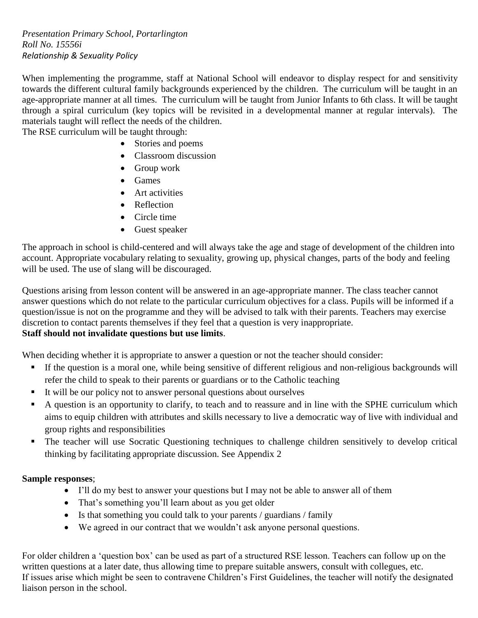When implementing the programme, staff at National School will endeavor to display respect for and sensitivity towards the different cultural family backgrounds experienced by the children. The curriculum will be taught in an age-appropriate manner at all times. The curriculum will be taught from Junior Infants to 6th class. It will be taught through a spiral curriculum (key topics will be revisited in a developmental manner at regular intervals). The materials taught will reflect the needs of the children.

The RSE curriculum will be taught through:

- Stories and poems
- Classroom discussion
- Group work
- Games
- Art activities
- Reflection
- Circle time
- Guest speaker

The approach in school is child-centered and will always take the age and stage of development of the children into account. Appropriate vocabulary relating to sexuality, growing up, physical changes, parts of the body and feeling will be used. The use of slang will be discouraged.

Questions arising from lesson content will be answered in an age-appropriate manner. The class teacher cannot answer questions which do not relate to the particular curriculum objectives for a class. Pupils will be informed if a question/issue is not on the programme and they will be advised to talk with their parents. Teachers may exercise discretion to contact parents themselves if they feel that a question is very inappropriate. **Staff should not invalidate questions but use limits**.

When deciding whether it is appropriate to answer a question or not the teacher should consider:

- If the question is a moral one, while being sensitive of different religious and non-religious backgrounds will refer the child to speak to their parents or guardians or to the Catholic teaching
- It will be our policy not to answer personal questions about ourselves
- A question is an opportunity to clarify, to teach and to reassure and in line with the SPHE curriculum which aims to equip children with attributes and skills necessary to live a democratic way of live with individual and group rights and responsibilities
- The teacher will use Socratic Questioning techniques to challenge children sensitively to develop critical thinking by facilitating appropriate discussion. See Appendix 2

#### **Sample responses**;

- I'll do my best to answer your questions but I may not be able to answer all of them
- That's something you'll learn about as you get older
- Is that something you could talk to your parents / guardians / family
- We agreed in our contract that we wouldn't ask anyone personal questions.

For older children a 'question box' can be used as part of a structured RSE lesson. Teachers can follow up on the written questions at a later date, thus allowing time to prepare suitable answers, consult with collegues, etc. If issues arise which might be seen to contravene Children's First Guidelines, the teacher will notify the designated liaison person in the school.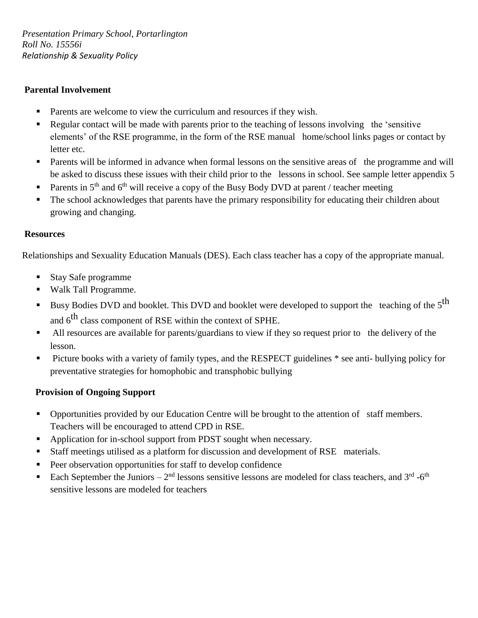### **Parental Involvement**

- Parents are welcome to view the curriculum and resources if they wish.
- Regular contact will be made with parents prior to the teaching of lessons involving the 'sensitive elements' of the RSE programme, in the form of the RSE manual home/school links pages or contact by letter etc.
- **•** Parents will be informed in advance when formal lessons on the sensitive areas of the programme and will be asked to discuss these issues with their child prior to the lessons in school. See sample letter appendix 5
- **•** Parents in 5<sup>th</sup> and 6<sup>th</sup> will receive a copy of the Busy Body DVD at parent / teacher meeting
- The school acknowledges that parents have the primary responsibility for educating their children about growing and changing.

#### **Resources**

Relationships and Sexuality Education Manuals (DES). Each class teacher has a copy of the appropriate manual.

- Stay Safe programme
- Walk Tall Programme.
- **Example 3** Busy Bodies DVD and booklet. This DVD and booklet were developed to support the teaching of the  $5<sup>th</sup>$ and  $6<sup>th</sup>$  class component of RSE within the context of SPHE.
- All resources are available for parents/guardians to view if they so request prior to the delivery of the lesson.
- **•** Picture books with a variety of family types, and the RESPECT guidelines  $*$  see anti- bullying policy for preventative strategies for homophobic and transphobic bullying

#### **Provision of Ongoing Support**

- **•** Opportunities provided by our Education Centre will be brought to the attention of staff members. Teachers will be encouraged to attend CPD in RSE.
- Application for in-school support from PDST sought when necessary.
- Staff meetings utilised as a platform for discussion and development of RSE materials.
- Peer observation opportunities for staff to develop confidence
- Each September the Juniors  $-2<sup>nd</sup>$  lessons sensitive lessons are modeled for class teachers, and 3<sup>rd</sup> -6<sup>th</sup> sensitive lessons are modeled for teachers